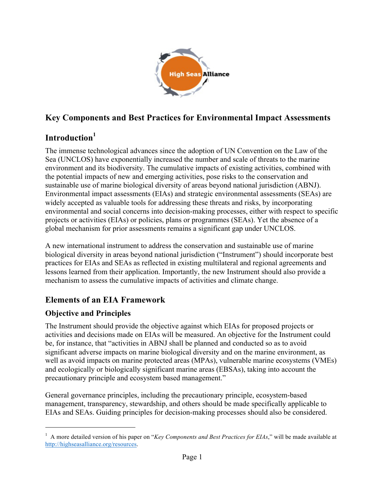

## **Key Components and Best Practices for Environmental Impact Assessments**

## **Introduction<sup>1</sup>**

The immense technological advances since the adoption of UN Convention on the Law of the Sea (UNCLOS) have exponentially increased the number and scale of threats to the marine environment and its biodiversity. The cumulative impacts of existing activities, combined with the potential impacts of new and emerging activities, pose risks to the conservation and sustainable use of marine biological diversity of areas beyond national jurisdiction (ABNJ). Environmental impact assessments (EIAs) and strategic environmental assessments (SEAs) are widely accepted as valuable tools for addressing these threats and risks, by incorporating environmental and social concerns into decision-making processes, either with respect to specific projects or activities (EIAs) or policies, plans or programmes (SEAs). Yet the absence of a global mechanism for prior assessments remains a significant gap under UNCLOS.

A new international instrument to address the conservation and sustainable use of marine biological diversity in areas beyond national jurisdiction ("Instrument") should incorporate best practices for EIAs and SEAs as reflected in existing multilateral and regional agreements and lessons learned from their application. Importantly, the new Instrument should also provide a mechanism to assess the cumulative impacts of activities and climate change.

### **Elements of an EIA Framework**

### **Objective and Principles**

The Instrument should provide the objective against which EIAs for proposed projects or activities and decisions made on EIAs will be measured. An objective for the Instrument could be, for instance, that "activities in ABNJ shall be planned and conducted so as to avoid significant adverse impacts on marine biological diversity and on the marine environment, as well as avoid impacts on marine protected areas (MPAs), vulnerable marine ecosystems (VMEs) and ecologically or biologically significant marine areas (EBSAs), taking into account the precautionary principle and ecosystem based management."

General governance principles, including the precautionary principle, ecosystem-based management, transparency, stewardship, and others should be made specifically applicable to EIAs and SEAs. Guiding principles for decision-making processes should also be considered.

<sup>&</sup>lt;sup>1</sup> A more detailed version of his paper on "*Key Components and Best Practices for EIAs*," will be made available at http://highseasalliance.org/resources.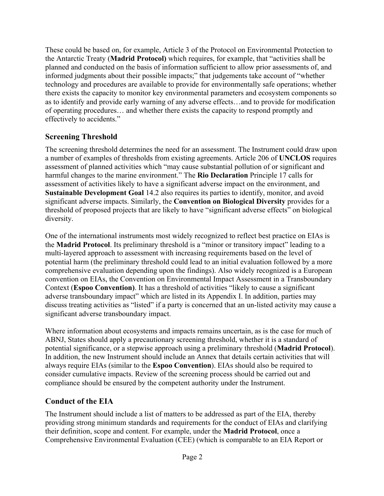These could be based on, for example, Article 3 of the Protocol on Environmental Protection to the Antarctic Treaty (**Madrid Protocol)** which requires, for example, that "activities shall be planned and conducted on the basis of information sufficient to allow prior assessments of, and informed judgments about their possible impacts;" that judgements take account of "whether technology and procedures are available to provide for environmentally safe operations; whether there exists the capacity to monitor key environmental parameters and ecosystem components so as to identify and provide early warning of any adverse effects…and to provide for modification of operating procedures… and whether there exists the capacity to respond promptly and effectively to accidents."

#### **Screening Threshold**

The screening threshold determines the need for an assessment. The Instrument could draw upon a number of examples of thresholds from existing agreements. Article 206 of **UNCLOS** requires assessment of planned activities which "may cause substantial pollution of or significant and harmful changes to the marine environment." The **Rio Declaration** Principle 17 calls for assessment of activities likely to have a significant adverse impact on the environment, and **Sustainable Development Goal** 14.2 also requires its parties to identify, monitor, and avoid significant adverse impacts. Similarly, the **Convention on Biological Diversity** provides for a threshold of proposed projects that are likely to have "significant adverse effects" on biological diversity.

One of the international instruments most widely recognized to reflect best practice on EIAs is the **Madrid Protocol**. Its preliminary threshold is a "minor or transitory impact" leading to a multi-layered approach to assessment with increasing requirements based on the level of potential harm (the preliminary threshold could lead to an initial evaluation followed by a more comprehensive evaluation depending upon the findings). Also widely recognized is a European convention on EIAs, the Convention on Environmental Impact Assessment in a Transboundary Context (**Espoo Convention)**. It has a threshold of activities "likely to cause a significant adverse transboundary impact" which are listed in its Appendix I. In addition, parties may discuss treating activities as "listed" if a party is concerned that an un-listed activity may cause a significant adverse transboundary impact.

Where information about ecosystems and impacts remains uncertain, as is the case for much of ABNJ, States should apply a precautionary screening threshold, whether it is a standard of potential significance, or a stepwise approach using a preliminary threshold (**Madrid Protocol**). In addition, the new Instrument should include an Annex that details certain activities that will always require EIAs (similar to the **Espoo Convention**). EIAs should also be required to consider cumulative impacts. Review of the screening process should be carried out and compliance should be ensured by the competent authority under the Instrument.

#### **Conduct of the EIA**

The Instrument should include a list of matters to be addressed as part of the EIA, thereby providing strong minimum standards and requirements for the conduct of EIAs and clarifying their definition, scope and content. For example, under the **Madrid Protocol**, once a Comprehensive Environmental Evaluation (CEE) (which is comparable to an EIA Report or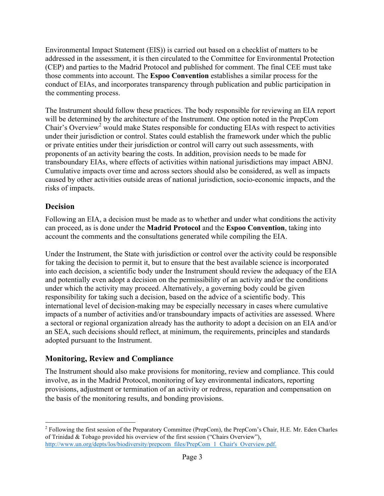Environmental Impact Statement (EIS)) is carried out based on a checklist of matters to be addressed in the assessment, it is then circulated to the Committee for Environmental Protection (CEP) and parties to the Madrid Protocol and published for comment. The final CEE must take those comments into account. The **Espoo Convention** establishes a similar process for the conduct of EIAs, and incorporates transparency through publication and public participation in the commenting process.

The Instrument should follow these practices. The body responsible for reviewing an EIA report will be determined by the architecture of the Instrument. One option noted in the PrepCom Chair's Overview<sup>2</sup> would make States responsible for conducting EIAs with respect to activities under their jurisdiction or control. States could establish the framework under which the public or private entities under their jurisdiction or control will carry out such assessments, with proponents of an activity bearing the costs. In addition, provision needs to be made for transboundary EIAs, where effects of activities within national jurisdictions may impact ABNJ. Cumulative impacts over time and across sectors should also be considered, as well as impacts caused by other activities outside areas of national jurisdiction, socio-economic impacts, and the risks of impacts.

#### **Decision**

Following an EIA, a decision must be made as to whether and under what conditions the activity can proceed, as is done under the **Madrid Protocol** and the **Espoo Convention**, taking into account the comments and the consultations generated while compiling the EIA.

Under the Instrument, the State with jurisdiction or control over the activity could be responsible for taking the decision to permit it, but to ensure that the best available science is incorporated into each decision, a scientific body under the Instrument should review the adequacy of the EIA and potentially even adopt a decision on the permissibility of an activity and/or the conditions under which the activity may proceed. Alternatively, a governing body could be given responsibility for taking such a decision, based on the advice of a scientific body. This international level of decision-making may be especially necessary in cases where cumulative impacts of a number of activities and/or transboundary impacts of activities are assessed. Where a sectoral or regional organization already has the authority to adopt a decision on an EIA and/or an SEA, such decisions should reflect, at minimum, the requirements, principles and standards adopted pursuant to the Instrument.

#### **Monitoring, Review and Compliance**

The Instrument should also make provisions for monitoring, review and compliance. This could involve, as in the Madrid Protocol, monitoring of key environmental indicators, reporting provisions, adjustment or termination of an activity or redress, reparation and compensation on the basis of the monitoring results, and bonding provisions.

<sup>&</sup>lt;sup>2</sup> Following the first session of the Preparatory Committee (PrepCom), the PrepCom's Chair, H.E. Mr. Eden Charles of Trinidad & Tobago provided his overview of the first session ("Chairs Overview"), http://www.un.org/depts/los/biodiversity/prepcom\_files/PrepCom\_1\_Chair's\_Overview.pdf.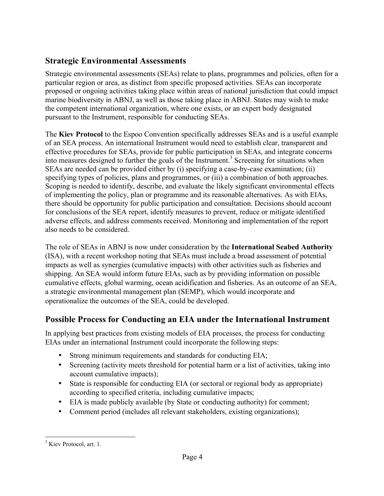## **Strategic Environmental Assessments**

Strategic environmental assessments (SEAs) relate to plans, programmes and policies, often for a particular region or area, as distinct from specific proposed activities. SEAs can incorporate proposed or ongoing activities taking place within areas of national jurisdiction that could impact marine biodiversity in ABNJ, as well as those taking place in ABNJ. States may wish to make the competent international organization, where one exists, or an expert body designated pursuant to the Instrument, responsible for conducting SEAs.

The **Kiev Protocol** to the Espoo Convention specifically addresses SEAs and is a useful example of an SEA process. An international Instrument would need to establish clear, transparent and effective procedures for SEAs, provide for public participation in SEAs, and integrate concerns into measures designed to further the goals of the Instrument.<sup>3</sup> Screening for situations when SEAs are needed can be provided either by (i) specifying a case-by-case examination; (ii) specifying types of policies, plans and programmes, or (iii) a combination of both approaches. Scoping is needed to identify, describe, and evaluate the likely significant environmental effects of implementing the policy, plan or programme and its reasonable alternatives. As with EIAs, there should be opportunity for public participation and consultation. Decisions should account for conclusions of the SEA report, identify measures to prevent, reduce or mitigate identified adverse effects, and address comments received. Monitoring and implementation of the report also needs to be considered.

The role of SEAs in ABNJ is now under consideration by the **International Seabed Authority** (ISA), with a recent workshop noting that SEAs must include a broad assessment of potential impacts as well as synergies (cumulative impacts) with other activities such as fisheries and shipping. An SEA would inform future EIAs, such as by providing information on possible cumulative effects, global warming, ocean acidification and fisheries. As an outcome of an SEA, a strategic environmental management plan (SEMP), which would incorporate and operationalize the outcomes of the SEA, could be developed.

# **Possible Process for Conducting an EIA under the International Instrument**

In applying best practices from existing models of EIA processes, the process for conducting EIAs under an international Instrument could incorporate the following steps:

- Strong minimum requirements and standards for conducting EIA;
- Screening (activity meets threshold for potential harm or a list of activities, taking into account cumulative impacts);
- State is responsible for conducting EIA (or sectoral or regional body as appropriate) according to specified criteria, including cumulative impacts;
- EIA is made publicly available (by State or conducting authority) for comment;
- Comment period (includes all relevant stakeholders, existing organizations);

<sup>&</sup>lt;sup>3</sup> Kiev Protocol, art. 1.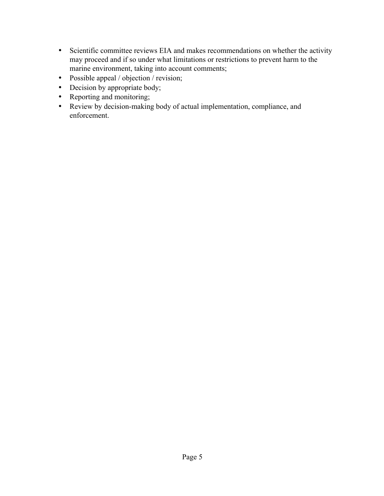- Scientific committee reviews EIA and makes recommendations on whether the activity may proceed and if so under what limitations or restrictions to prevent harm to the marine environment, taking into account comments;
- Possible appeal / objection / revision;
- Decision by appropriate body;
- Reporting and monitoring;
- Review by decision-making body of actual implementation, compliance, and enforcement.